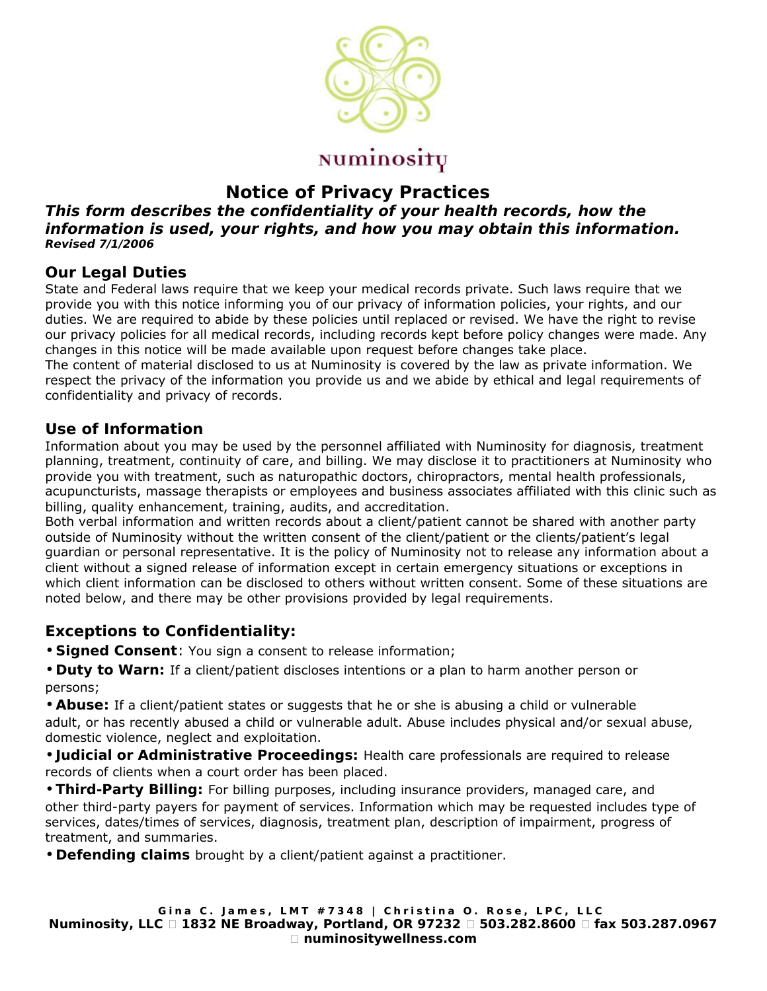

# **Notice of Privacy Practices**

#### **This form describes the confidentiality of your health records, how the information is used, your rights, and how you may obtain this information. Revised 7/1/2006**

### **Our Legal Duties**

State and Federal laws require that we keep your medical records private. Such laws require that we provide you with this notice informing you of our privacy of information policies, your rights, and our duties. We are required to abide by these policies until replaced or revised. We have the right to revise our privacy policies for all medical records, including records kept before policy changes were made. Any changes in this notice will be made available upon request before changes take place.

The content of material disclosed to us at Numinosity is covered by the law as private information. We respect the privacy of the information you provide us and we abide by ethical and legal requirements of confidentiality and privacy of records.

### **Use of Information**

Information about you may be used by the personnel affiliated with Numinosity for diagnosis, treatment planning, treatment, continuity of care, and billing. We may disclose it to practitioners at Numinosity who provide you with treatment, such as naturopathic doctors, chiropractors, mental health professionals, acupuncturists, massage therapists or employees and business associates affiliated with this clinic such as billing, quality enhancement, training, audits, and accreditation.

Both verbal information and written records about a client/patient cannot be shared with another party outside of Numinosity without the written consent of the client/patient or the clients/patient's legal guardian or personal representative. It is the policy of Numinosity not to release any information about a client without a signed release of information except in certain emergency situations or exceptions in which client information can be disclosed to others without written consent. Some of these situations are noted below, and there may be other provisions provided by legal requirements.

## **Exceptions to Confidentiality:**

- **Signed Consent**: You sign a consent to release information;
- **Duty to Warn:** If a client/patient discloses intentions or a plan to harm another person or persons;
- **Abuse:** If a client/patient states or suggests that he or she is abusing a child or vulnerable adult, or has recently abused a child or vulnerable adult. Abuse includes physical and/or sexual abuse, domestic violence, neglect and exploitation.
- **Judicial or Administrative Proceedings:** Health care professionals are required to release records of clients when a court order has been placed.

• **Third-Party Billing:** For billing purposes, including insurance providers, managed care, and other third-party payers for payment of services. Information which may be requested includes type of services, dates/times of services, diagnosis, treatment plan, description of impairment, progress of treatment, and summaries.

• **Defending claims** brought by a client/patient against a practitioner.